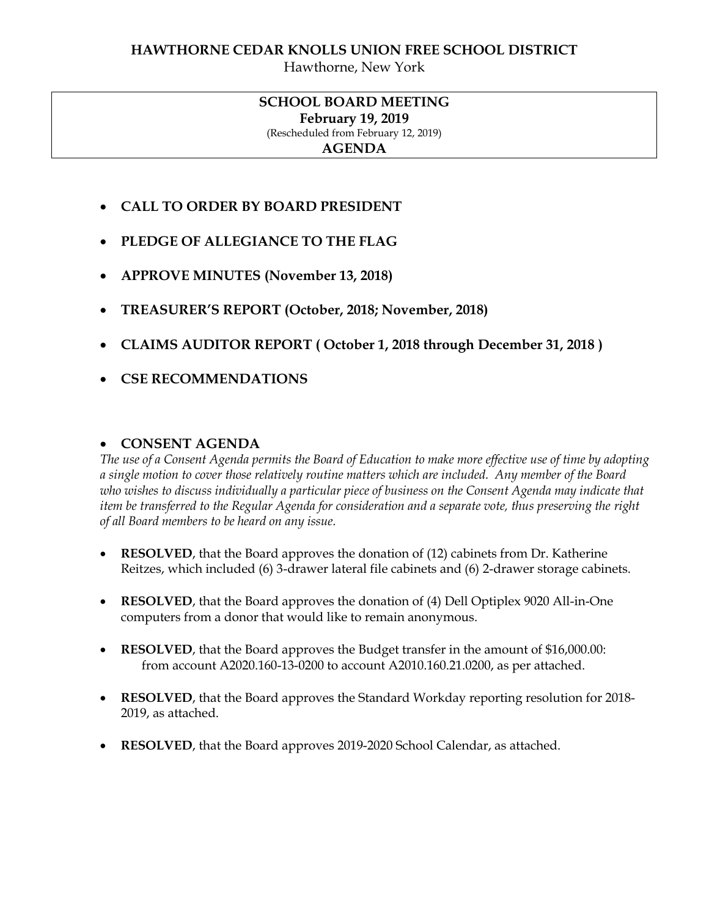Hawthorne, New York

### **SCHOOL BOARD MEETING February 19, 2019** (Rescheduled from February 12, 2019) **AGENDA**

- **CALL TO ORDER BY BOARD PRESIDENT**
- **PLEDGE OF ALLEGIANCE TO THE FLAG**
- **APPROVE MINUTES (November 13, 2018)**
- **TREASURER'S REPORT (October, 2018; November, 2018)**
- **CLAIMS AUDITOR REPORT ( October 1, 2018 through December 31, 2018 )**
- **CSE RECOMMENDATIONS**

### **CONSENT AGENDA**

*The use of a Consent Agenda permits the Board of Education to make more effective use of time by adopting a single motion to cover those relatively routine matters which are included. Any member of the Board who wishes to discuss individually a particular piece of business on the Consent Agenda may indicate that item be transferred to the Regular Agenda for consideration and a separate vote, thus preserving the right of all Board members to be heard on any issue.* 

- **RESOLVED**, that the Board approves the donation of (12) cabinets from Dr. Katherine Reitzes, which included (6) 3-drawer lateral file cabinets and (6) 2-drawer storage cabinets.
- **RESOLVED**, that the Board approves the donation of (4) Dell Optiplex 9020 All-in-One computers from a donor that would like to remain anonymous.
- **RESOLVED**, that the Board approves the Budget transfer in the amount of \$16,000.00: from account A2020.160-13-0200 to account A2010.160.21.0200, as per attached.
- **RESOLVED**, that the Board approves the Standard Workday reporting resolution for 2018- 2019, as attached.
- **RESOLVED**, that the Board approves 2019-2020 School Calendar, as attached.